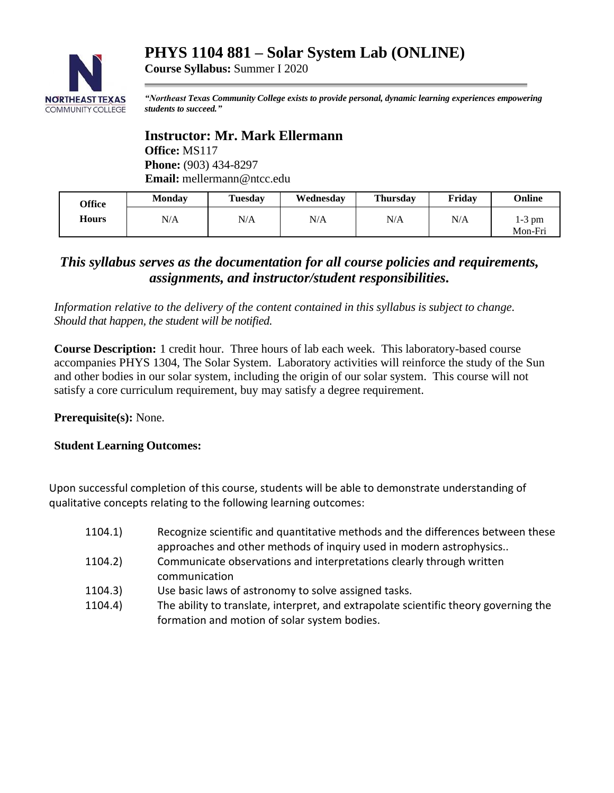# **PHYS 1104 881 – Solar System Lab (ONLINE)**



*"Northeast Texas Community College exists to provide personal, dynamic learning experiences empowering students to succeed."*

**Instructor: Mr. Mark Ellermann Office:** MS117 **Phone:** (903) 434-8297 **Email:** mellermann@ntcc.edu

**Course Syllabus:** Summer I 2020

| Office | <b>Monday</b> | <b>Tuesday</b> | Wednesday | <b>Thursday</b> | Fridav | Online              |
|--------|---------------|----------------|-----------|-----------------|--------|---------------------|
| Hours  | N/A           | N/A            | N/A       | N/A             | N/A    | $1-3$ pm<br>Mon-Fri |

# *This syllabus serves as the documentation for all course policies and requirements, assignments, and instructor/student responsibilities.*

*Information relative to the delivery of the content contained in this syllabus is subject to change. Should that happen, the student will be notified.*

**Course Description:** 1 credit hour. Three hours of lab each week. This laboratory-based course accompanies PHYS 1304, The Solar System. Laboratory activities will reinforce the study of the Sun and other bodies in our solar system, including the origin of our solar system. This course will not satisfy a core curriculum requirement, buy may satisfy a degree requirement.

**Prerequisite(s):** None.

#### **Student Learning Outcomes:**

Upon successful completion of this course, students will be able to demonstrate understanding of qualitative concepts relating to the following learning outcomes:

- 1104.1) Recognize scientific and quantitative methods and the differences between these approaches and other methods of inquiry used in modern astrophysics..
- 1104.2) Communicate observations and interpretations clearly through written communication
- 1104.3) Use basic laws of astronomy to solve assigned tasks.
- 1104.4) The ability to translate, interpret, and extrapolate scientific theory governing the formation and motion of solar system bodies.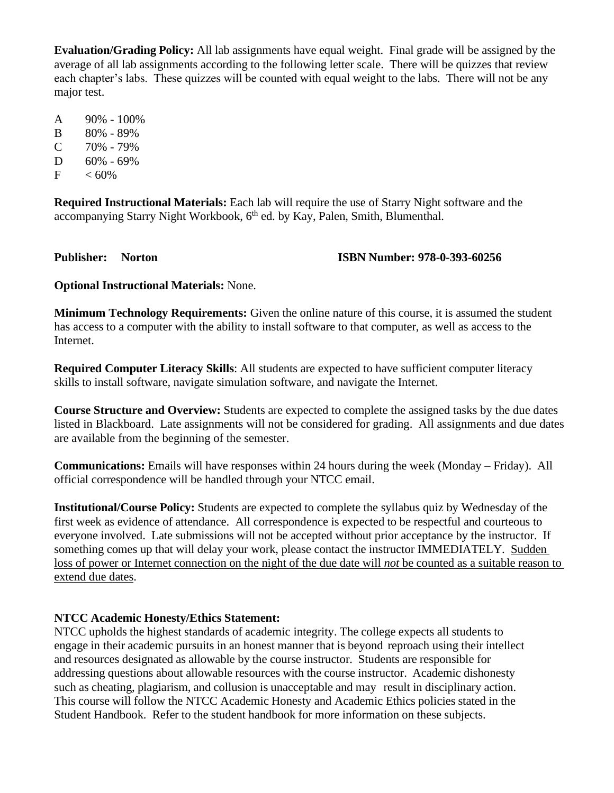**Evaluation/Grading Policy:** All lab assignments have equal weight. Final grade will be assigned by the average of all lab assignments according to the following letter scale. There will be quizzes that review each chapter's labs. These quizzes will be counted with equal weight to the labs. There will not be any major test.

A 90% - 100%

- B 80% 89%
- $C$  70% 79%
- D 60% 69%
- $F \sim 60\%$

**Required Instructional Materials:** Each lab will require the use of Starry Night software and the accompanying Starry Night Workbook, 6<sup>th</sup> ed. by Kay, Palen, Smith, Blumenthal.

### **Publisher: Norton ISBN Number: 978-0-393-60256**

**Optional Instructional Materials:** None.

**Minimum Technology Requirements:** Given the online nature of this course, it is assumed the student has access to a computer with the ability to install software to that computer, as well as access to the Internet.

**Required Computer Literacy Skills**: All students are expected to have sufficient computer literacy skills to install software, navigate simulation software, and navigate the Internet.

**Course Structure and Overview:** Students are expected to complete the assigned tasks by the due dates listed in Blackboard. Late assignments will not be considered for grading. All assignments and due dates are available from the beginning of the semester.

**Communications:** Emails will have responses within 24 hours during the week (Monday – Friday). All official correspondence will be handled through your NTCC email.

**Institutional/Course Policy:** Students are expected to complete the syllabus quiz by Wednesday of the first week as evidence of attendance. All correspondence is expected to be respectful and courteous to everyone involved. Late submissions will not be accepted without prior acceptance by the instructor. If something comes up that will delay your work, please contact the instructor IMMEDIATELY. Sudden loss of power or Internet connection on the night of the due date will *not* be counted as a suitable reason to extend due dates.

## **NTCC Academic Honesty/Ethics Statement:**

NTCC upholds the highest standards of academic integrity. The college expects all students to engage in their academic pursuits in an honest manner that is beyond reproach using their intellect and resources designated as allowable by the course instructor. Students are responsible for addressing questions about allowable resources with the course instructor. Academic dishonesty such as cheating, plagiarism, and collusion is unacceptable and may result in disciplinary action. This course will follow the NTCC Academic Honesty and Academic Ethics policies stated in the Student Handbook. Refer to the student handbook for more information on these subjects.